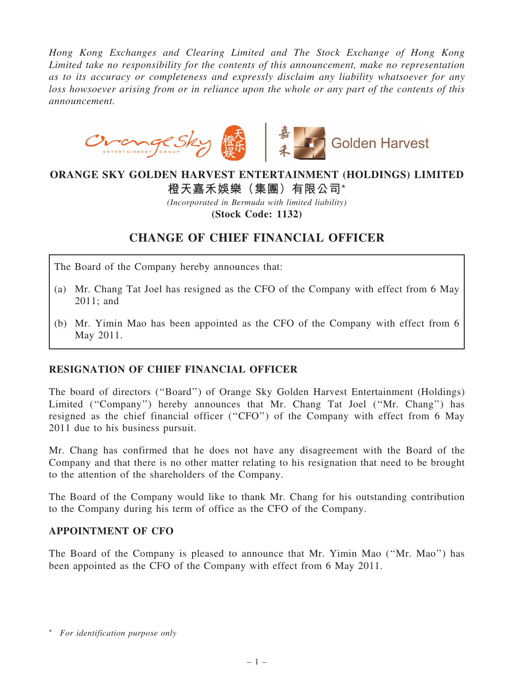*Hong Kong Exchanges and Clearing Limited and The Stock Exchange of Hong Kong Limited take no responsibility for the contents of this announcement, make no representation as to its accuracy or completeness and expressly disclaim any liability whatsoever for any loss howsoever arising from or in reliance upon the whole or any part of the contents of this announcement.*



## ORANGE SKY GOLDEN HARVEST ENTERTAINMENT (HOLDINGS) LIMITED 橙天嘉禾娛樂(集團)有限公司\*

*(Incorporated in Bermuda with limited liability)* (Stock Code: 1132)

## CHANGE OF CHIEF FINANCIAL OFFICER

The Board of the Company hereby announces that:

- (a) Mr. Chang Tat Joel has resigned as the CFO of the Company with effect from 6 May 2011; and
- (b) Mr. Yimin Mao has been appointed as the CFO of the Company with effect from 6 May 2011.

## RESIGNATION OF CHIEF FINANCIAL OFFICER

The board of directors (''Board'') of Orange Sky Golden Harvest Entertainment (Holdings) Limited (''Company'') hereby announces that Mr. Chang Tat Joel (''Mr. Chang'') has resigned as the chief financial officer ("CFO") of the Company with effect from 6 May 2011 due to his business pursuit.

Mr. Chang has confirmed that he does not have any disagreement with the Board of the Company and that there is no other matter relating to his resignation that need to be brought to the attention of the shareholders of the Company.

The Board of the Company would like to thank Mr. Chang for his outstanding contribution to the Company during his term of office as the CFO of the Company.

## APPOINTMENT OF CFO

The Board of the Company is pleased to announce that Mr. Yimin Mao (''Mr. Mao'') has been appointed as the CFO of the Company with effect from 6 May 2011.

<sup>\*</sup> *For identification purpose only*